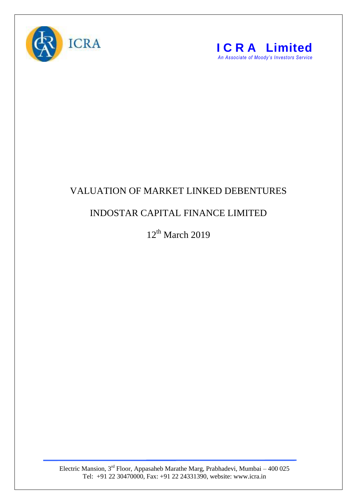



## VALUATION OF MARKET LINKED DEBENTURES

## INDOSTAR CAPITAL FINANCE LIMITED

 $12<sup>th</sup>$  March 2019

Electric Mansion,  $3<sup>rd</sup>$  Floor, Appasaheb Marathe Marg, Prabhadevi, Mumbai – 400 025 Tel: +91 22 30470000, Fax: +91 22 24331390, website: www.icra.in